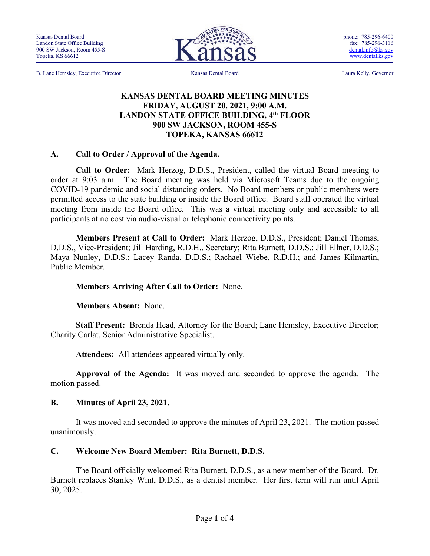B. Lane Hemsley, Executive Director Kansas Dental Board Laura Kelly, Governor

phone: 785-296-6400 fax: 785-296-3116 [dental.info@ks.gov](mailto:dental.info@ks.gov) [www.dental.ks.gov](http://www.dental.ks.gov/)

#### **KANSAS DENTAL BOARD MEETING MINUTES FRIDAY, AUGUST 20, 2021, 9:00 A.M. LANDON STATE OFFICE BUILDING, 4th FLOOR 900 SW JACKSON, ROOM 455-S TOPEKA, KANSAS 66612**

#### **A. Call to Order / Approval of the Agenda.**

**Call to Order:** Mark Herzog, D.D.S., President, called the virtual Board meeting to order at 9:03 a.m. The Board meeting was held via Microsoft Teams due to the ongoing COVID-19 pandemic and social distancing orders. No Board members or public members were permitted access to the state building or inside the Board office. Board staff operated the virtual meeting from inside the Board office. This was a virtual meeting only and accessible to all participants at no cost via audio-visual or telephonic connectivity points.

**Members Present at Call to Order:** Mark Herzog, D.D.S., President; Daniel Thomas, D.D.S., Vice-President; Jill Harding, R.D.H., Secretary; Rita Burnett, D.D.S.; Jill Ellner, D.D.S.; Maya Nunley, D.D.S.; Lacey Randa, D.D.S.; Rachael Wiebe, R.D.H.; and James Kilmartin, Public Member.

#### **Members Arriving After Call to Order:** None.

**Members Absent:** None.

**Staff Present:** Brenda Head, Attorney for the Board; Lane Hemsley, Executive Director; Charity Carlat, Senior Administrative Specialist.

**Attendees:** All attendees appeared virtually only.

**Approval of the Agenda:** It was moved and seconded to approve the agenda. The motion passed.

#### **B. Minutes of April 23, 2021.**

It was moved and seconded to approve the minutes of April 23, 2021. The motion passed unanimously.

#### **C. Welcome New Board Member: Rita Burnett, D.D.S.**

The Board officially welcomed Rita Burnett, D.D.S., as a new member of the Board. Dr. Burnett replaces Stanley Wint, D.D.S., as a dentist member. Her first term will run until April 30, 2025.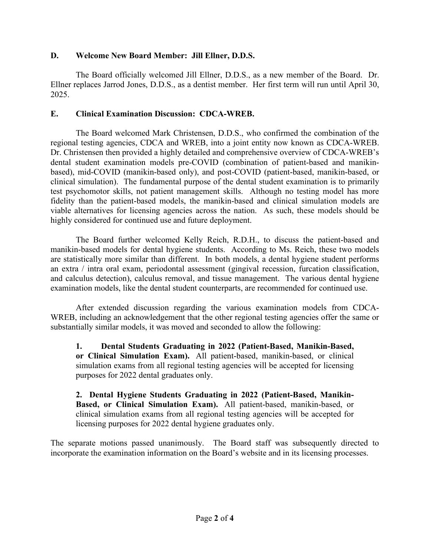#### **D. Welcome New Board Member: Jill Ellner, D.D.S.**

The Board officially welcomed Jill Ellner, D.D.S., as a new member of the Board. Dr. Ellner replaces Jarrod Jones, D.D.S., as a dentist member. Her first term will run until April 30, 2025.

### **E. Clinical Examination Discussion: CDCA-WREB.**

The Board welcomed Mark Christensen, D.D.S., who confirmed the combination of the regional testing agencies, CDCA and WREB, into a joint entity now known as CDCA-WREB. Dr. Christensen then provided a highly detailed and comprehensive overview of CDCA-WREB's dental student examination models pre-COVID (combination of patient-based and manikinbased), mid-COVID (manikin-based only), and post-COVID (patient-based, manikin-based, or clinical simulation). The fundamental purpose of the dental student examination is to primarily test psychomotor skills, not patient management skills. Although no testing model has more fidelity than the patient-based models, the manikin-based and clinical simulation models are viable alternatives for licensing agencies across the nation. As such, these models should be highly considered for continued use and future deployment.

The Board further welcomed Kelly Reich, R.D.H., to discuss the patient-based and manikin-based models for dental hygiene students. According to Ms. Reich, these two models are statistically more similar than different. In both models, a dental hygiene student performs an extra / intra oral exam, periodontal assessment (gingival recession, furcation classification, and calculus detection), calculus removal, and tissue management. The various dental hygiene examination models, like the dental student counterparts, are recommended for continued use.

After extended discussion regarding the various examination models from CDCA-WREB, including an acknowledgement that the other regional testing agencies offer the same or substantially similar models, it was moved and seconded to allow the following:

**1. Dental Students Graduating in 2022 (Patient-Based, Manikin-Based, or Clinical Simulation Exam).** All patient-based, manikin-based, or clinical simulation exams from all regional testing agencies will be accepted for licensing purposes for 2022 dental graduates only.

**2. Dental Hygiene Students Graduating in 2022 (Patient-Based, Manikin-Based, or Clinical Simulation Exam).** All patient-based, manikin-based, or clinical simulation exams from all regional testing agencies will be accepted for licensing purposes for 2022 dental hygiene graduates only.

The separate motions passed unanimously. The Board staff was subsequently directed to incorporate the examination information on the Board's website and in its licensing processes.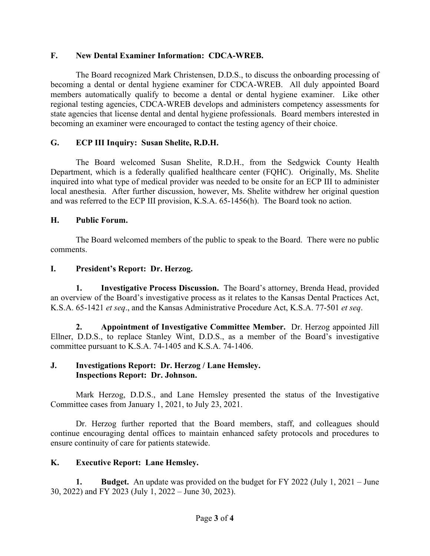### **F. New Dental Examiner Information: CDCA-WREB.**

The Board recognized Mark Christensen, D.D.S., to discuss the onboarding processing of becoming a dental or dental hygiene examiner for CDCA-WREB. All duly appointed Board members automatically qualify to become a dental or dental hygiene examiner. Like other regional testing agencies, CDCA-WREB develops and administers competency assessments for state agencies that license dental and dental hygiene professionals. Board members interested in becoming an examiner were encouraged to contact the testing agency of their choice.

## **G. ECP III Inquiry: Susan Shelite, R.D.H.**

The Board welcomed Susan Shelite, R.D.H., from the Sedgwick County Health Department, which is a federally qualified healthcare center (FQHC). Originally, Ms. Shelite inquired into what type of medical provider was needed to be onsite for an ECP III to administer local anesthesia. After further discussion, however, Ms. Shelite withdrew her original question and was referred to the ECP III provision, K.S.A. 65-1456(h). The Board took no action.

### **H. Public Forum.**

The Board welcomed members of the public to speak to the Board. There were no public comments.

### **I. President's Report: Dr. Herzog.**

**1. Investigative Process Discussion.** The Board's attorney, Brenda Head, provided an overview of the Board's investigative process as it relates to the Kansas Dental Practices Act, K.S.A. 65-1421 *et seq*., and the Kansas Administrative Procedure Act, K.S.A. 77-501 *et seq*.

**2. Appointment of Investigative Committee Member.** Dr. Herzog appointed Jill Ellner, D.D.S., to replace Stanley Wint, D.D.S., as a member of the Board's investigative committee pursuant to K.S.A. 74-1405 and K.S.A. 74-1406.

#### **J. Investigations Report: Dr. Herzog / Lane Hemsley. Inspections Report: Dr. Johnson.**

Mark Herzog, D.D.S., and Lane Hemsley presented the status of the Investigative Committee cases from January 1, 2021, to July 23, 2021.

Dr. Herzog further reported that the Board members, staff, and colleagues should continue encouraging dental offices to maintain enhanced safety protocols and procedures to ensure continuity of care for patients statewide.

## **K. Executive Report: Lane Hemsley.**

**1. Budget.** An update was provided on the budget for FY 2022 (July 1, 2021 – June 30, 2022) and FY 2023 (July 1, 2022 – June 30, 2023).